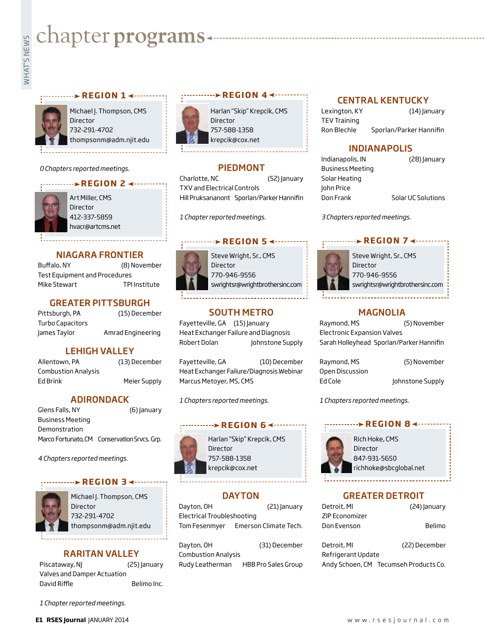# **Exampler programs**<br>Example:

### **REGION 1 ∢ ··········**



Michael J. Thompson, CMS Director 732-291-4702 thompsonm@adm.njit.edu

### *0 Chapters reported meetings.*

### **REGION 2**



Art Miller, CMS **Director** 412-337-5859 hvacr@artcms.net

### NIAGARA FRONTIER

Buffalo, NY (8) November Test Equipment and Procedures Mike Stewart TPI Institute

### GREATER PITTSBURGH

| Pittsburgh, PA   | (15) December     |
|------------------|-------------------|
| Turbo Capacitors |                   |
| James Taylor     | Amrad Engineering |

### LEHIGH VALLEY

Allentown, PA (13) December Combustion Analysis Ed Brink Meier Supply

### ADIRONDACK

Glens Falls, NY (6) January Business Meeting Demonstration Marco Fortunato, CM Conservation Srvcs. Grp.

*4 Chapters reported meetings.*

### **REGION 3**



Michael J. Thompson, CMS **Director** 732-291-4702 thompsonm@adm.njit.edu

### RARITAN VALLEY

Piscataway, NJ (25) January Valves and Damper Actuation David Riffle **Belimo** Inc.

*1 Chapter reported meetings.*



Harlan "Skip" Krepcik, CMS Director 757-588-1358 krepcik@cox.net

**BEGION 4 <---------**

### PIEDMONT

Charlotte, NC (52) January TXV and Electrical Controls Hill Pruksananont Sporlan/Parker Hannifin

*1 Chapter reported meetings.*

### ···········**> REGION 5 <·**········

Steve Wright, Sr., CMS Director 770-946-9556 swrightsr@wrightbrothersinc.com

### SOUTH METRO

Fayetteville, GA (15) January Heat Exchanger Failure and Diagnosis Robert Dolan Johnstone Supply

Heat Exchanger Failure/Diagnosis Webinar Marcus Metoyer, MS, CMS

### **REGION 6 <-------**



Harlan "Skip" Krepcik, CMS Director 757-588-1358 krepcik@cox.net

### **DAYTON**

Dayton, OH (21) January Electrical Troubleshooting Tom Fesenmyer Emerson Climate Tech.

Dayton, OH (31) December Combustion Analysis Rudy Leatherman HBB Pro Sales Group

### CENTRAL KENTUCKY

Lexington, KY (14) January TEV Training Ron Blechle Sporlan/Parker Hannifin

### INDIANAPOLIS

Business Meeting Solar Heating John Price

Indianapolis, IN (28) January

Don Frank Solar UC Solutions

*3 Chapters reported meetings.*

### **REGION 7 4 - - - - -**



Steve Wright, Sr., CMS Director 770-946-9556 swrightsr@wrightbrothersinc.com

### MAGNOLIA

Raymond, MS (5) November Electronic Expansion Valves Sarah Holleyhead Sporlan/Parker Hannifin

Raymond, MS (5) November Open Discussion Ed Cole Johnstone Supply

*1 Chapters reported meetings.*

### **REGION 8 <------**



Rich Hoke, CMS Director 847-931-5650 richhoke@sbcglobal.net

GREATER DETROIT

| Detroit, MI    | (24) January |
|----------------|--------------|
| ZIP Economizer |              |
| Don Evenson    | Belimo       |

| Detroit, MI        | (22) December                         |
|--------------------|---------------------------------------|
| Refrigerant Update |                                       |
|                    | Andy Schoen, CM Tecumseh Products Co. |



Fayetteville, GA (10) December

*1 Chapters reported meetings.*